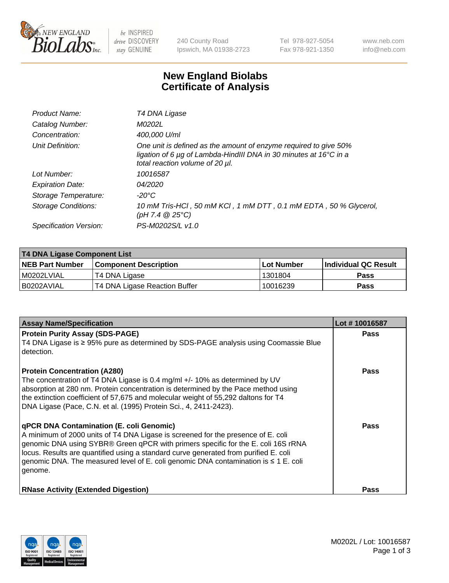

 $be$  INSPIRED drive DISCOVERY stay GENUINE

240 County Road Ipswich, MA 01938-2723 Tel 978-927-5054 Fax 978-921-1350 www.neb.com info@neb.com

## **New England Biolabs Certificate of Analysis**

| Product Name:           | T4 DNA Ligase                                                                                                                                                                           |
|-------------------------|-----------------------------------------------------------------------------------------------------------------------------------------------------------------------------------------|
| Catalog Number:         | M0202L                                                                                                                                                                                  |
| Concentration:          | 400,000 U/ml                                                                                                                                                                            |
| Unit Definition:        | One unit is defined as the amount of enzyme required to give 50%<br>ligation of 6 $\mu$ g of Lambda-HindIII DNA in 30 minutes at 16 $\degree$ C in a<br>total reaction volume of 20 µl. |
| Lot Number:             | 10016587                                                                                                                                                                                |
| <b>Expiration Date:</b> | 04/2020                                                                                                                                                                                 |
| Storage Temperature:    | -20°C                                                                                                                                                                                   |
| Storage Conditions:     | 10 mM Tris-HCl, 50 mM KCl, 1 mM DTT, 0.1 mM EDTA, 50 % Glycerol,<br>(pH 7.4 $@25°C$ )                                                                                                   |
| Specification Version:  | PS-M0202S/L v1.0                                                                                                                                                                        |

| <b>T4 DNA Ligase Component List</b> |                               |                   |                      |  |
|-------------------------------------|-------------------------------|-------------------|----------------------|--|
| <b>NEB Part Number</b>              | <b>Component Description</b>  | <b>Lot Number</b> | Individual QC Result |  |
| I M0202LVIAL                        | T4 DNA Ligase                 | 1301804           | <b>Pass</b>          |  |
| B0202AVIAL                          | T4 DNA Ligase Reaction Buffer | 10016239          | <b>Pass</b>          |  |

| <b>Assay Name/Specification</b>                                                                                                                                                                                                                                                                                                                                                                                         | Lot #10016587 |
|-------------------------------------------------------------------------------------------------------------------------------------------------------------------------------------------------------------------------------------------------------------------------------------------------------------------------------------------------------------------------------------------------------------------------|---------------|
| <b>Protein Purity Assay (SDS-PAGE)</b><br>T4 DNA Ligase is ≥ 95% pure as determined by SDS-PAGE analysis using Coomassie Blue<br>detection.                                                                                                                                                                                                                                                                             | <b>Pass</b>   |
| <b>Protein Concentration (A280)</b><br>The concentration of T4 DNA Ligase is 0.4 mg/ml +/- 10% as determined by UV<br>absorption at 280 nm. Protein concentration is determined by the Pace method using<br>the extinction coefficient of 57,675 and molecular weight of 55,292 daltons for T4<br>DNA Ligase (Pace, C.N. et al. (1995) Protein Sci., 4, 2411-2423).                                                     | Pass          |
| <b>qPCR DNA Contamination (E. coli Genomic)</b><br>A minimum of 2000 units of T4 DNA Ligase is screened for the presence of E. coli<br>genomic DNA using SYBR® Green qPCR with primers specific for the E. coli 16S rRNA<br>locus. Results are quantified using a standard curve generated from purified E. coli<br>genomic DNA. The measured level of E. coli genomic DNA contamination is $\leq 1$ E. coli<br>genome. | Pass          |
| <b>RNase Activity (Extended Digestion)</b>                                                                                                                                                                                                                                                                                                                                                                              | <b>Pass</b>   |

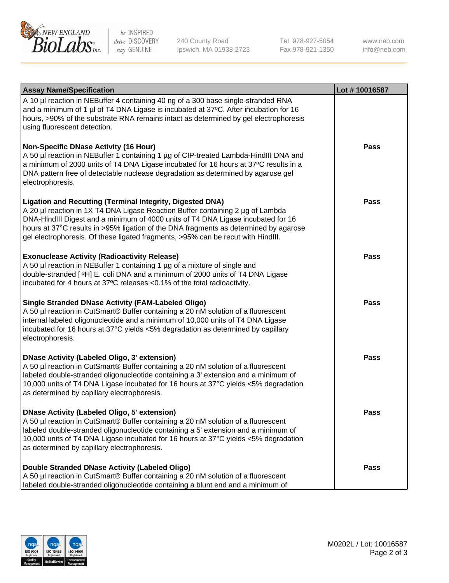

be INSPIRED drive DISCOVERY stay GENUINE

240 County Road Ipswich, MA 01938-2723 Tel 978-927-5054 Fax 978-921-1350

www.neb.com info@neb.com

| <b>Assay Name/Specification</b>                                                                                                                                                                                                                                                                                                                                                                                    | Lot #10016587 |
|--------------------------------------------------------------------------------------------------------------------------------------------------------------------------------------------------------------------------------------------------------------------------------------------------------------------------------------------------------------------------------------------------------------------|---------------|
| A 10 µl reaction in NEBuffer 4 containing 40 ng of a 300 base single-stranded RNA<br>and a minimum of 1 µl of T4 DNA Ligase is incubated at 37°C. After incubation for 16<br>hours, >90% of the substrate RNA remains intact as determined by gel electrophoresis<br>using fluorescent detection.                                                                                                                  |               |
| <b>Non-Specific DNase Activity (16 Hour)</b><br>A 50 µl reaction in NEBuffer 1 containing 1 µg of CIP-treated Lambda-HindIII DNA and<br>a minimum of 2000 units of T4 DNA Ligase incubated for 16 hours at 37°C results in a<br>DNA pattern free of detectable nuclease degradation as determined by agarose gel<br>electrophoresis.                                                                               | <b>Pass</b>   |
| <b>Ligation and Recutting (Terminal Integrity, Digested DNA)</b><br>A 20 µl reaction in 1X T4 DNA Ligase Reaction Buffer containing 2 µg of Lambda<br>DNA-HindIII Digest and a minimum of 4000 units of T4 DNA Ligase incubated for 16<br>hours at 37°C results in >95% ligation of the DNA fragments as determined by agarose<br>gel electrophoresis. Of these ligated fragments, >95% can be recut with HindIII. | <b>Pass</b>   |
| <b>Exonuclease Activity (Radioactivity Release)</b><br>A 50 µl reaction in NEBuffer 1 containing 1 µg of a mixture of single and<br>double-stranded [3H] E. coli DNA and a minimum of 2000 units of T4 DNA Ligase<br>incubated for 4 hours at 37°C releases <0.1% of the total radioactivity.                                                                                                                      | <b>Pass</b>   |
| <b>Single Stranded DNase Activity (FAM-Labeled Oligo)</b><br>A 50 µl reaction in CutSmart® Buffer containing a 20 nM solution of a fluorescent<br>internal labeled oligonucleotide and a minimum of 10,000 units of T4 DNA Ligase<br>incubated for 16 hours at 37°C yields <5% degradation as determined by capillary<br>electrophoresis.                                                                          | <b>Pass</b>   |
| <b>DNase Activity (Labeled Oligo, 3' extension)</b><br>A 50 µl reaction in CutSmart® Buffer containing a 20 nM solution of a fluorescent<br>labeled double-stranded oligonucleotide containing a 3' extension and a minimum of<br>10,000 units of T4 DNA Ligase incubated for 16 hours at 37°C yields <5% degradation<br>as determined by capillary electrophoresis.                                               | <b>Pass</b>   |
| <b>DNase Activity (Labeled Oligo, 5' extension)</b><br>A 50 µl reaction in CutSmart® Buffer containing a 20 nM solution of a fluorescent<br>labeled double-stranded oligonucleotide containing a 5' extension and a minimum of<br>10,000 units of T4 DNA Ligase incubated for 16 hours at 37°C yields <5% degradation<br>as determined by capillary electrophoresis.                                               | <b>Pass</b>   |
| <b>Double Stranded DNase Activity (Labeled Oligo)</b><br>A 50 µl reaction in CutSmart® Buffer containing a 20 nM solution of a fluorescent<br>labeled double-stranded oligonucleotide containing a blunt end and a minimum of                                                                                                                                                                                      | <b>Pass</b>   |